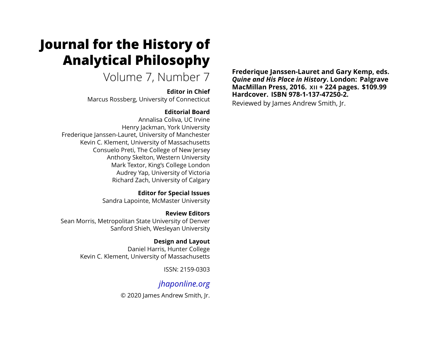# <span id="page-0-0"></span>**Journal for the History of Analytical Philosophy**

Volume 7, Number 7

### **Editor in Chief**

Marcus Rossberg, University of Connecticut

### **Editorial Board**

Annalisa Coliva, UC Irvine Henry Jackman, York University Frederique Janssen-Lauret, University of Manchester Kevin C. Klement, University of Massachusetts Consuelo Preti, The College of New Jersey Anthony Skelton, Western University Mark Textor, King's College London Audrey Yap, University of Victoria Richard Zach, University of Calgary

> **Editor for Special Issues** Sandra Lapointe, McMaster University

**Review Editors** Sean Morris, Metropolitan State University of Denver Sanford Shieh, Wesleyan University

#### **Design and Layout** Daniel Harris, Hunter College Kevin C. Klement, University of Massachusetts

ISSN: 2159-0303

# *[jhaponline.org](https://jhaponline.org)*

© 2020 James Andrew Smith, Jr.

**Frederique Janssen-Lauret and Gary Kemp, eds.** *Quine and His Place in History***. London: Palgrave MacMillan Press, 2016. XII + 224 pages. \$109.99 Hardcover. ISBN 978-1-137-47250-2.**

Reviewed by James Andrew Smith, Jr.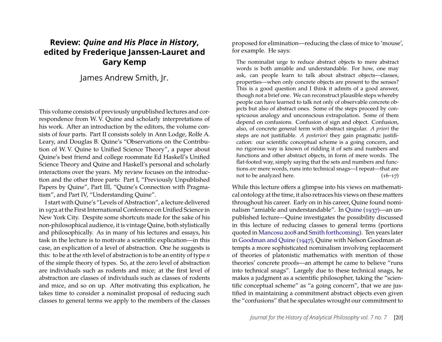## **Review:** *Quine and His Place in History***, edited by Frederique Janssen-Lauret and Gary Kemp**

James Andrew Smith, Jr.

This volume consists of previously unpublished lectures and correspondence from W. V. Quine and scholarly interpretations of his work. After an introduction by the editors, the volume consists of four parts. Part II consists solely in Ann Lodge, Rolfe A. Leary, and Douglas B. Quine's "Observations on the Contribution of W. V. Quine to Unified Science Theory", a paper about Quine's best friend and college roommate Ed Haskell's Unified Science Theory and Quine and Haskell's personal and scholarly interactions over the years. My review focuses on the introduction and the other three parts: Part I, "Previously Unpublished Papers by Quine", Part III, "Quine's Connection with Pragmatism", and Part IV, "Understanding Quine".

I start with Quine's "Levels of Abstraction", a lecture delivered in 1972 at the First International Conference on Unified Science in New York City. Despite some shortcuts made for the sake of his non-philosophical audience, it is vintage Quine, both stylistically and philosophically. As in many of his lectures and essays, his task in the lecture is to motivate a scientific explication—in this case, an explication of a level of abstraction. One he suggests is this: to be at the *n*th level of abstraction is to be an entity of type *n* of the simple theory of types. So, at the zero level of abstraction are individuals such as rodents and mice; at the first level of abstraction are classes of individuals such as classes of rodents and mice, and so on up. After motivating this explication, he takes time to consider a nominalist proposal of reducing such classes to general terms we apply to the members of the classes

proposed for elimination—reducing the class of mice to 'mouse', for example. He says:

The nominalist urge to reduce abstract objects to mere abstract words is both amiable and understandable. For how, one may ask, can people learn to talk about abstract objects—classes, properties—when only concrete objects are present to the senses? This is a good question and I think it admits of a good answer, though not a brief one. We can reconstruct plausible steps whereby people can have learned to talk not only of observable concrete objects but also of abstract ones. Some of the steps proceed by conspicuous analogy and unconscious extrapolation. Some of them depend on confusions. Confusion of sign and object. Confusion, also, of concrete general term with abstract singular. *A priori* the steps are not justifiable. *A posteriori* they gain pragmatic justification: our scientific conceptual scheme is a going concern, and no rigorous way is known of ridding it of sets and numbers and functions and other abstract objects, in form of mere words. The flat-footed way, simply saying that the sets and numbers and functions *are* mere words, runs into technical snags—I repeat—that are not to be analyzed here.  $(16-17)$ 

While this lecture offers a glimpse into his views on mathematical ontology at the time, it also retraces his views on these matters throughout his career. Early on in his career, Quine found nominalism "amiable and understandable". In [Quine](#page-4-0) [\(1937\)](#page-4-0)—an unpublished lecture—Quine investigates the possibility discussed in this lecture of reducing classes to general terms (portions quoted in [Mancosu 2008](#page-4-1) and [Smith forthcoming\)](#page-5-0). Ten years later in [Goodman and Quine](#page-4-2) [\(1947\)](#page-4-2), Quine with Nelson Goodman attempts a more sophisticated nominalism involving replacement of theories of platonistic mathematics with mention of those theories' concrete proofs—an attempt he came to believe "runs into technical snags". Largely due to these technical snags, he makes a judgment as a scientific philosopher, taking the "scientific conceptual scheme" as "a going concern", that we are justified in maintaining a commitment abstract objects even given the "confusions" that he speculates wrought our commitment to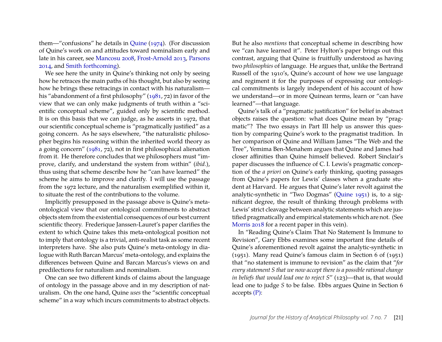them—"confusions" he details in [Quine](#page-4-3) [\(1974\)](#page-4-3). (For discussion of Quine's work on and attitudes toward nominalism early and late in his career, see [Mancosu 2008,](#page-4-1) [Frost-Arnold 2013,](#page-4-4) [Parsons](#page-4-5) [2014,](#page-4-5) and [Smith forthcoming\)](#page-5-0).

We see here the unity in Quine's thinking not only by seeing how he retraces the main paths of his thought, but also by seeing how he brings these retracings in contact with his naturalism his "abandonment of a first philosophy" [\(1981,](#page-4-6) 72) in favor of the view that we can only make judgments of truth within a "scientific conceptual scheme", guided only by scientific method. It is on this basis that we can judge, as he asserts in 1972, that our scientific conceptual scheme is "pragmatically justified" as a going concern. As he says elsewhere, "the naturalistic philosopher begins his reasoning within the inherited world theory as a going concern" [\(1981,](#page-4-6) 72), not in first philosophical alienation from it. He therefore concludes that we philosophers must "improve, clarify, and understand the system from within" (*ibid.*), thus using that scheme describe how he "can have learned" the scheme he aims to improve and clarify. I will use the passage from the 1972 lecture, and the naturalism exemplified within it, to situate the rest of the contributions to the volume.

Implicitly presupposed in the passage above is Quine's metaontological view that our ontological commitments to abstract objects stem from the existential consequences of our best current scientific theory. Frederique Janssen-Lauret's paper clarifies the extent to which Quine takes this meta-ontological position not to imply that ontology is a trivial, anti-realist task as some recent interpreters have. She also puts Quine's meta-ontology in dialogue with Ruth Barcan Marcus' meta-ontology, and explains the differences between Quine and Barcan Marcus's views on and predilections for naturalism and nominalism.

One can see two different kinds of claims about the language of ontology in the passage above and in my description of naturalism. On the one hand, Quine *uses* the "scientific conceptual scheme" in a way which incurs commitments to abstract objects.

But he also *mentions* that conceptual scheme in describing how we "can have learned it". Peter Hylton's paper brings out this contrast, arguing that Quine is fruitfully understood as having two *philosophies* of language. He argues that, unlike the Bertrand Russell of the 1910's, Quine's account of how we use language and regiment it for the purposes of expressing our ontological commitments is largely independent of his account of how we understand—or in more Quinean terms, learn or "can have learned"—that language.

Quine's talk of a "pragmatic justification" for belief in abstract objects raises the question: what does Quine mean by "pragmatic"? The two essays in Part III help us answer this question by comparing Quine's work to the pragmatist tradition. In her comparison of Quine and William James "The Web and the Tree", Yemima Ben-Menahem argues that Quine and James had closer affinities than Quine himself believed. Robert Sinclair's paper discusses the influence of C. I. Lewis's pragmatic conception of the *a priori* on Quine's early thinking, quoting passages from Quine's papers for Lewis' classes when a graduate student at Harvard. He argues that Quine's later revolt against the analytic-synthetic in "Two Dogmas" [\(Quine 1951\)](#page-4-7) is, to a significant degree, the result of thinking through problems with Lewis' strict cleavage between analytic statements which are justified pragmatically and empirical statements which are not. (See [Morris 2018](#page-4-8) for a recent paper in this vein).

In "Reading Quine's Claim That No Statement Is Immune to Revision", Gary Ebbs examines some important fine details of Quine's aforementioned revolt against the analytic-synthetic in (1951). Many read Quine's famous claim in Section 6 of (1951) that "no statement is immune to revision" as the claim that "*for every statement S that we now accept there is a possible rational change in beliefs that would lead one to reject S*" (123)—that is, that would lead one to judge *S* to be false. Ebbs argues Quine in Section 6 accepts [\(P\):](#page-0-0)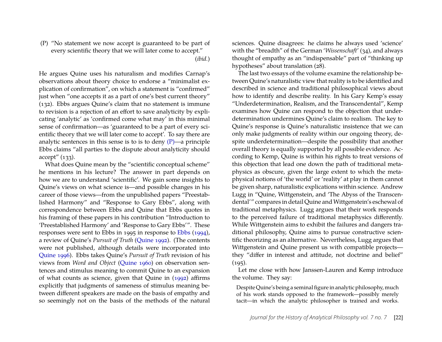(P) "No statement we now accept is guaranteed to be part of every scientific theory that we will later come to accept." (*ibid.*)

He argues Quine uses his naturalism and modifies Carnap's observations about theory choice to endorse a "minimalist explication of confirmation", on which a statement is "confirmed" just when "one accepts it as a part of one's best current theory" (132). Ebbs argues Quine's claim that no statement is immune to revision is a rejection of an effort to save analyticity by explicating 'analytic' as 'confirmed come what may' in this minimal sense of confirmation—as 'guaranteed to be a part of every scientific theory that we will later come to accept'. To say there are analytic sentences in this sense is to is to deny  $(P)$ —a principle Ebbs claims "all parties to the dispute about analyticity should accept" (133).

What does Quine mean by the "scientific conceptual scheme" he mentions in his lecture? The answer in part depends on how we are to understand 'scientific'. We gain some insights to Quine's views on what science is—and possible changes in his career of those views—from the unpublished papers "Preestablished Harmony" and "Response to Gary Ebbs", along with correspondence between Ebbs and Quine that Ebbs quotes in his framing of these papers in his contribution "Introduction to 'Preestablished Harmony' and 'Response to Gary Ebbs'". These responses were sent to Ebbs in 1995 in response to [Ebbs](#page-4-9) [\(1994\)](#page-4-9), a review of Quine's *Pursuit of Truth* [\(Quine 1992\)](#page-5-1). (The contents were not published, although details were incorporated into [Quine 1996\)](#page-5-2). Ebbs takes Quine's *Pursuit of Truth* revision of his views from *Word and Object* [\(Quine 1960\)](#page-4-10) on observation sentences and stimulus meaning to commit Quine to an expansion of what counts as science, given that Quine in [\(1992\)](#page-5-1) affirms explicitly that judgments of sameness of stimulus meaning between different speakers are made on the basis of empathy and so seemingly not on the basis of the methods of the natural sciences. Quine disagrees: he claims he always used 'science' with the "breadth" of the German '*Wissenschaft'* (34), and always thought of empathy as an "indispensable" part of "thinking up hypotheses" about translation (28).

The last two essays of the volume examine the relationship between Quine's naturalistic view that reality is to be identified and described in science and traditional philosophical views about how to identify and describe reality. In his Gary Kemp's essay "Underdetermination, Realism, and the Transcendental", Kemp examines how Quine can respond to the objection that underdetermination undermines Quine's claim to realism. The key to Quine's response is Quine's naturalistic insistence that we can only make judgments of reality within our ongoing theory, despite underdetermination—despite the possibility that another overall theory is equally supported by all possible evidence. According to Kemp, Quine is within his rights to treat versions of this objection that lead one down the path of traditional metaphysics as obscure, given the large extent to which the metaphysical notions of 'the world' or 'reality' at play in them cannot be given sharp, naturalistic explications within science. Andrew Lugg in "Quine, Wittgenstein, and 'The Abyss of the Transcendental'" compares in detail Quine and Wittgenstein's eschewal of traditional metaphysics. Lugg argues that their work responds to the perceived failure of traditional metaphysics differently. While Wittgenstein aims to exhibit the failures and dangers traditional philosophy, Quine aims to pursue constructive scientific theorizing as an alternative. Nevertheless, Lugg argues that Wittgenstein and Quine present us with compatible projects they "differ in interest and attitude, not doctrine and belief"  $(195).$ 

Let me close with how Janssen-Lauren and Kemp introduce the volume. They say:

Despite Quine's being a seminal figure in analytic philosophy, much of his work stands opposed to the framework—possibly merely tacit—in which the analytic philosopher is trained and works.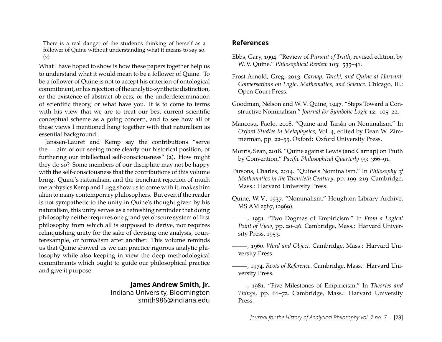There is a real danger of the student's thinking of herself as a follower of Quine without understanding what it means to say so. (2)

What I have hoped to show is how these papers together help us to understand what it would mean to be a follower of Quine. To be a follower of Quine is not to accept his criterion of ontological commitment, or his rejection of the analytic-synthetic distinction, or the existence of abstract objects, or the underdetermination of scientific theory, or what have you. It is to come to terms with his view that we are to treat our best current scientific conceptual scheme as a going concern, and to see how all of these views I mentioned hang together with that naturalism as essential background.

Janssen-Lauret and Kemp say the contributions "serve the . . . aim of our seeing more clearly our historical position, of furthering our intellectual self-consciousness" (2). How might they do so? Some members of our discipline may not be happy with the self-consciousness that the contributions of this volume bring. Quine's naturalism, and the trenchant rejection of much metaphysics Kemp and Lugg show us to come with it, makes him alien to many contemporary philosophers. But even if the reader is not sympathetic to the unity in Quine's thought given by his naturalism, this unity serves as a refreshing reminder that doing philosophy neither requires one grand yet obscure system of first philosophy from which all is supposed to derive, nor requires relinquishing unity for the sake of devising one analysis, counterexample, or formalism after another. This volume reminds us that Quine showed us we can practice rigorous analytic philosophy while also keeping in view the deep methodological commitments which ought to guide our philosophical practice and give it purpose.

### **James Andrew Smith, Jr.**

Indiana University, Bloomington smith986@indiana.edu

### **References**

- <span id="page-4-9"></span>Ebbs, Gary, 1994. "Review of *Pursuit of Truth*, revised edition, by W. V. Quine." *Philosophical Review* 103: 535–41.
- <span id="page-4-4"></span>Frost-Arnold, Greg, 2013. *Carnap, Tarski, and Quine at Harvard: Conversations on Logic, Mathematics, and Science*. Chicago, Ill.: Open Court Press.
- <span id="page-4-2"></span>Goodman, Nelson and W. V. Quine, 1947. "Steps Toward a Constructive Nominalism." *Journal for Symbolic Logic* 12: 105–22.
- <span id="page-4-1"></span>Mancosu, Paolo, 2008. "Quine and Tarski on Nominalism." In *Oxford Studies in Metaphysics*, Vol. 4, edited by Dean W. Zimmerman, pp. 22–55. Oxford: Oxford University Press.
- <span id="page-4-8"></span>Morris, Sean, 2018. "Quine against Lewis (and Carnap) on Truth by Convention." *Pacific Philosophical Quarterly* 99: 366–91.
- <span id="page-4-5"></span>Parsons, Charles, 2014. "Quine's Nominalism." In *Philosophy of Mathematics in the Twentieth Century*, pp. 199–219. Cambridge, Mass.: Harvard University Press.
- <span id="page-4-0"></span>Quine, W. V., 1937. "Nominalism." Houghton Library Archive, MS AM 2587, (2969).
- <span id="page-4-7"></span>, 1951. "Two Dogmas of Empiricism." In *From a Logical Point of View*, pp. 20–46. Cambridge, Mass.: Harvard University Press, 1953.
- <span id="page-4-10"></span>, 1960. *Word and Object*. Cambridge, Mass.: Harvard University Press.
- <span id="page-4-3"></span>, 1974. *Roots of Reference*. Cambridge, Mass.: Harvard University Press.
- <span id="page-4-6"></span>, 1981. "Five Milestones of Empiricism." In *Theories and Things*, pp. 61–72. Cambridge, Mass.: Harvard University Press.